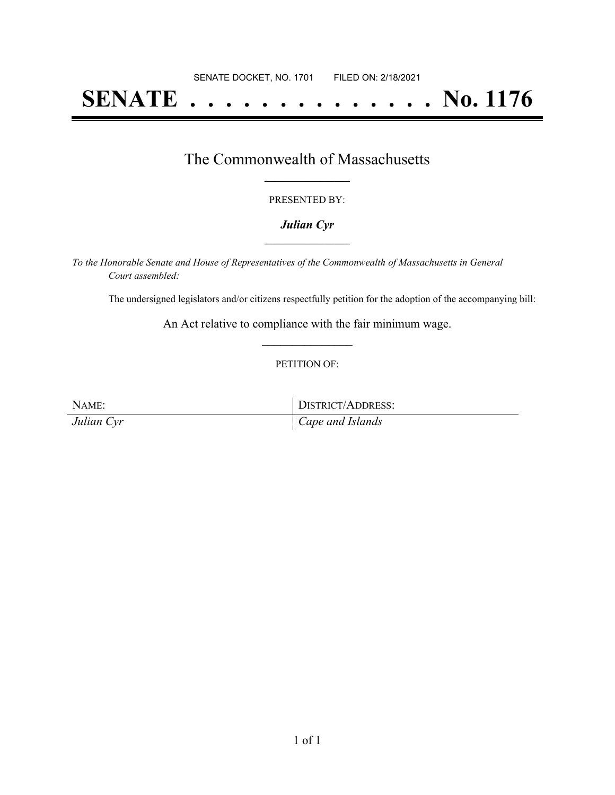# **SENATE . . . . . . . . . . . . . . No. 1176**

### The Commonwealth of Massachusetts **\_\_\_\_\_\_\_\_\_\_\_\_\_\_\_\_\_**

#### PRESENTED BY:

#### *Julian Cyr* **\_\_\_\_\_\_\_\_\_\_\_\_\_\_\_\_\_**

*To the Honorable Senate and House of Representatives of the Commonwealth of Massachusetts in General Court assembled:*

The undersigned legislators and/or citizens respectfully petition for the adoption of the accompanying bill:

An Act relative to compliance with the fair minimum wage. **\_\_\_\_\_\_\_\_\_\_\_\_\_\_\_**

#### PETITION OF:

NAME: DISTRICT/ADDRESS: *Julian Cyr Cape and Islands*

1 of 1